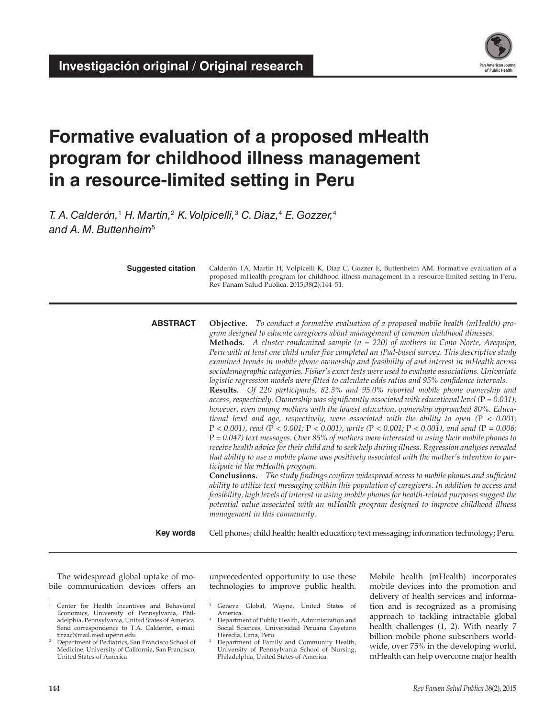

# **Formative evaluation of a proposed mHealth program for childhood illness management in a resource-limited setting in Peru**

*T. A. Calderón,*<sup>1</sup>  *H. Martin,*<sup>2</sup>  *K. Volpicelli,*<sup>3</sup>  *C. Diaz,*<sup>4</sup>  *E. Gozzer,*<sup>4</sup> *and A. M. Buttenheim*<sup>5</sup>

| <b>Suggested citation</b> | Calderón TA, Martin H, Volpicelli K, Diaz C, Gozzer E, Buttenheim AM. Formative evaluation of a<br>proposed mHealth program for childhood illness management in a resource-limited setting in Peru.<br>Rev Panam Salud Publica. 2015;38(2):144-51.                                                                                                                                                                                                                                                                                                                                                                                                                                                                                                                                                                                                                                                                                                                                                                                                                                                                                                                                                                                                                                                                                                                                                                                                                                                                                                                                                                                                                                                                                                                                                                                                                                                                                                                                  |  |  |  |  |  |  |
|---------------------------|-------------------------------------------------------------------------------------------------------------------------------------------------------------------------------------------------------------------------------------------------------------------------------------------------------------------------------------------------------------------------------------------------------------------------------------------------------------------------------------------------------------------------------------------------------------------------------------------------------------------------------------------------------------------------------------------------------------------------------------------------------------------------------------------------------------------------------------------------------------------------------------------------------------------------------------------------------------------------------------------------------------------------------------------------------------------------------------------------------------------------------------------------------------------------------------------------------------------------------------------------------------------------------------------------------------------------------------------------------------------------------------------------------------------------------------------------------------------------------------------------------------------------------------------------------------------------------------------------------------------------------------------------------------------------------------------------------------------------------------------------------------------------------------------------------------------------------------------------------------------------------------------------------------------------------------------------------------------------------------|--|--|--|--|--|--|
| <b>ABSTRACT</b>           | <b>Objective.</b> To conduct a formative evaluation of a proposed mobile health (mHealth) pro-<br>gram designed to educate caregivers about management of common childhood illnesses.<br><b>Methods.</b> A cluster-randomized sample $(n = 220)$ of mothers in Cono Norte, Arequipa,<br>Peru with at least one child under five completed an iPad-based survey. This descriptive study<br>examined trends in mobile phone ownership and feasibility of and interest in mHealth across<br>sociodemographic categories. Fisher's exact tests were used to evaluate associations. Univariate<br>logistic regression models were fitted to calculate odds ratios and 95% confidence intervals.<br>Results. Of 220 participants, 82.3% and 95.0% reported mobile phone ownership and<br>access, respectively. Ownership was significantly associated with educational level ( $P = 0.031$ );<br>however, even among mothers with the lowest education, ownership approached 80%. Educa-<br>tional level and age, respectively, were associated with the ability to open $(P < 0.001$ ;<br>$P < 0.001$ ), read (P < 0.001; P < 0.001), write (P < 0.001; P < 0.001), and send (P = 0.006;<br>$P = 0.047$ ) text messages. Over 85% of mothers were interested in using their mobile phones to<br>receive health advice for their child and to seek help during illness. Regression analyses revealed<br>that ability to use a mobile phone was positively associated with the mother's intention to par-<br>ticipate in the mHealth program.<br><b>Conclusions.</b> The study findings confirm widespread access to mobile phones and sufficient<br>ability to utilize text messaging within this population of caregivers. In addition to access and<br>feasibility, high levels of interest in using mobile phones for health-related purposes suggest the<br>potential value associated with an mHealth program designed to improve childhood illness<br>management in this community. |  |  |  |  |  |  |
| <b>Key words</b>          | Cell phones; child health; health education; text messaging; information technology; Peru.                                                                                                                                                                                                                                                                                                                                                                                                                                                                                                                                                                                                                                                                                                                                                                                                                                                                                                                                                                                                                                                                                                                                                                                                                                                                                                                                                                                                                                                                                                                                                                                                                                                                                                                                                                                                                                                                                          |  |  |  |  |  |  |

The widespread global uptake of mobile communication devices offers an

unprecedented opportunity to use these technologies to improve public health. Mobile health (mHealth) incorporates mobile devices into the promotion and delivery of health services and information and is recognized as a promising approach to tackling intractable global health challenges (1, 2). With nearly 7 billion mobile phone subscribers worldwide, over 75% in the developing world, mHealth can help overcome major health

<sup>1</sup> Center for Health Incentives and Behavioral Economics, University of Pennsylvania, Philadelphia, Pennsylvania, United States of America. Send correspondence to T.A. Calderón, e-mail: [tirzac@mail.med.upenn.edu](mailto:tirzac@mail.med.upenn.edu)

<sup>&</sup>lt;sup>2</sup> Department of Pediatrics, San Francisco School of Medicine, University of California, San Francisco, United States of America.

<sup>&</sup>lt;sup>3</sup> Geneva Global, Wayne, United States of America.

<sup>4</sup> Department of Public Health, Administration and Social Sciences, Universidad Peruana Cayetano Heredia, Lima, Peru.

<sup>5</sup> Department of Family and Community Health, University of Pennsylvania School of Nursing, Philadelphia, United States of America.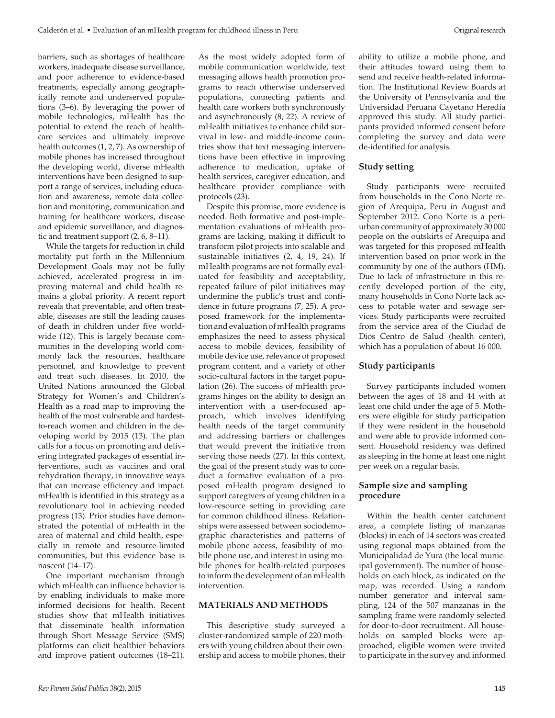barriers, such as shortages of healthcare workers, inadequate disease surveillance, and poor adherence to evidence-based treatments, especially among geographically remote and underserved populations (3–6). By leveraging the power of mobile technologies, mHealth has the potential to extend the reach of healthcare services and ultimately improve health outcomes (1, 2, 7). As ownership of mobile phones has increased throughout the developing world, diverse mHealth interventions have been designed to support a range of services, including education and awareness, remote data collection and monitoring, communication and training for healthcare workers, disease and epidemic surveillance, and diagnostic and treatment support (2, 6, 8–11).

While the targets for reduction in child mortality put forth in the Millennium Development Goals may not be fully achieved, accelerated progress in improving maternal and child health remains a global priority. A recent report reveals that preventable, and often treatable, diseases are still the leading causes of death in children under five worldwide (12). This is largely because communities in the developing world commonly lack the resources, healthcare personnel, and knowledge to prevent and treat such diseases. In 2010, the United Nations announced the Global Strategy for Women's and Children's Health as a road map to improving the health of the most vulnerable and hardestto-reach women and children in the developing world by 2015 (13). The plan calls for a focus on promoting and delivering integrated packages of essential interventions, such as vaccines and oral rehydration therapy, in innovative ways that can increase efficiency and impact. mHealth is identified in this strategy as a revolutionary tool in achieving needed progress (13). Prior studies have demonstrated the potential of mHealth in the area of maternal and child health, especially in remote and resource-limited communities, but this evidence base is nascent (14–17).

One important mechanism through which mHealth can influence behavior is by enabling individuals to make more informed decisions for health. Recent studies show that mHealth initiatives that disseminate health information through Short Message Service (SMS) platforms can elicit healthier behaviors and improve patient outcomes (18–21).

As the most widely adopted form of mobile communication worldwide, text messaging allows health promotion programs to reach otherwise underserved populations, connecting patients and health care workers both synchronously and asynchronously (8, 22). A review of mHealth initiatives to enhance child survival in low- and middle-income countries show that text messaging interventions have been effective in improving adherence to medication, uptake of health services, caregiver education, and healthcare provider compliance with protocols (23).

Despite this promise, more evidence is needed. Both formative and post-implementation evaluations of mHealth programs are lacking, making it difficult to transform pilot projects into scalable and sustainable initiatives (2, 4, 19, 24). If mHealth programs are not formally evaluated for feasibility and acceptability, repeated failure of pilot initiatives may undermine the public's trust and confidence in future programs (7, 25). A proposed framework for the implementation and evaluation of mHealth programs emphasizes the need to assess physical access to mobile devices, feasibility of mobile device use, relevance of proposed program content, and a variety of other socio-cultural factors in the target population (26). The success of mHealth programs hinges on the ability to design an intervention with a user-focused approach, which involves identifying health needs of the target community and addressing barriers or challenges that would prevent the initiative from serving those needs (27). In this context, the goal of the present study was to conduct a formative evaluation of a proposed mHealth program designed to support caregivers of young children in a low-resource setting in providing care for common childhood illness. Relationships were assessed between sociodemographic characteristics and patterns of mobile phone access, feasibility of mobile phone use, and interest in using mobile phones for health-related purposes to inform the development of an mHealth intervention.

# **MATERIALS AND METHODS**

This descriptive study surveyed a cluster-randomized sample of 220 mothers with young children about their ownership and access to mobile phones, their

ability to utilize a mobile phone, and their attitudes toward using them to send and receive health-related information. The Institutional Review Boards at the University of Pennsylvania and the Universidad Peruana Cayetano Heredia approved this study. All study participants provided informed consent before completing the survey and data were de-identified for analysis.

# **Study setting**

Study participants were recruited from households in the Cono Norte region of Arequipa, Peru in August and September 2012. Cono Norte is a periurban community of approximately 30 000 people on the outskirts of Arequipa and was targeted for this proposed mHealth intervention based on prior work in the community by one of the authors (HM). Due to lack of infrastructure in this recently developed portion of the city, many households in Cono Norte lack access to potable water and sewage services. Study participants were recruited from the service area of the Ciudad de Dios Centro de Salud (health center), which has a population of about 16 000.

# **Study participants**

Survey participants included women between the ages of 18 and 44 with at least one child under the age of 5. Mothers were eligible for study participation if they were resident in the household and were able to provide informed consent. Household residency was defined as sleeping in the home at least one night per week on a regular basis.

# **Sample size and sampling procedure**

Within the health center catchment area, a complete listing of manzanas (blocks) in each of 14 sectors was created using regional maps obtained from the Municipalidad de Yura (the local municipal government). The number of households on each block, as indicated on the map, was recorded. Using a random number generator and interval sampling, 124 of the 507 manzanas in the sampling frame were randomly selected for door-to-door recruitment. All households on sampled blocks were approached; eligible women were invited to participate in the survey and informed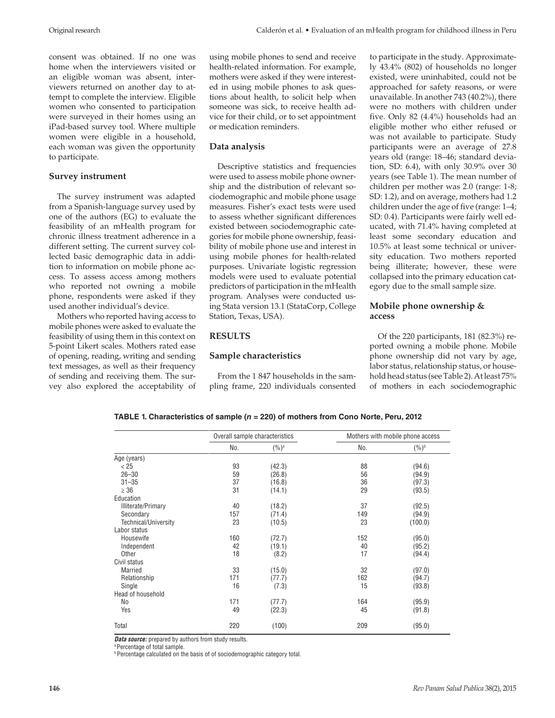consent was obtained. If no one was home when the interviewers visited or an eligible woman was absent, interviewers returned on another day to attempt to complete the interview. Eligible women who consented to participation were surveyed in their homes using an iPad-based survey tool. Where multiple women were eligible in a household, each woman was given the opportunity to participate.

#### **Survey instrument**

The survey instrument was adapted from a Spanish-language survey used by one of the authors (EG) to evaluate the feasibility of an mHealth program for chronic illness treatment adherence in a different setting. The current survey collected basic demographic data in addition to information on mobile phone access. To assess access among mothers who reported not owning a mobile phone, respondents were asked if they used another individual's device.

Mothers who reported having access to mobile phones were asked to evaluate the feasibility of using them in this context on 5-point Likert scales. Mothers rated ease of opening, reading, writing and sending text messages, as well as their frequency of sending and receiving them. The survey also explored the acceptability of

using mobile phones to send and receive health-related information. For example, mothers were asked if they were interested in using mobile phones to ask questions about health, to solicit help when someone was sick, to receive health advice for their child, or to set appointment or medication reminders.

#### **Data analysis**

Descriptive statistics and frequencies were used to assess mobile phone ownership and the distribution of relevant sociodemographic and mobile phone usage measures. Fisher's exact tests were used to assess whether significant differences existed between sociodemographic categories for mobile phone ownership, feasibility of mobile phone use and interest in using mobile phones for health-related purposes. Univariate logistic regression models were used to evaluate potential predictors of participation in the mHealth program. Analyses were conducted using Stata version 13.1 (StataCorp, College Station, Texas, USA).

### **RESULTS**

#### **Sample characteristics**

From the 1 847 households in the sampling frame, 220 individuals consented to participate in the study. Approximately 43.4% (802) of households no longer existed, were uninhabited, could not be approached for safety reasons, or were unavailable. In another 743 (40.2%), there were no mothers with children under five. Only 82 (4.4%) households had an eligible mother who either refused or was not available to participate. Study participants were an average of 27.8 years old (range: 18–46; standard deviation, SD: 6.4), with only 30.9% over 30 years (see Table 1). The mean number of children per mother was 2.0 (range: 1-8; SD: 1.2), and on average, mothers had 1.2 children under the age of five (range: 1–4; SD: 0.4). Participants were fairly well educated, with 71.4% having completed at least some secondary education and 10.5% at least some technical or university education. Two mothers reported being illiterate; however, these were collapsed into the primary education category due to the small sample size.

# **Mobile phone ownership & access**

Of the 220 participants, 181 (82.3%) reported owning a mobile phone. Mobile phone ownership did not vary by age, labor status, relationship status, or household head status (see Table 2). At least 75% of mothers in each sociodemographic

| TABLE 1. Characteristics of sample ( <i>n =</i> 220) of mothers from Cono Norte, Peru, 2012 |  |
|---------------------------------------------------------------------------------------------|--|
|---------------------------------------------------------------------------------------------|--|

|                      | Overall sample characteristics |         | Mothers with mobile phone access |                   |  |  |
|----------------------|--------------------------------|---------|----------------------------------|-------------------|--|--|
|                      | No.                            | $(%)^a$ | No.                              | $(\%)^{\text{b}}$ |  |  |
| Age (years)          |                                |         |                                  |                   |  |  |
| < 25                 | 93                             | (42.3)  | 88                               | (94.6)            |  |  |
| $26 - 30$            | 59                             | (26.8)  | 56                               | (94.9)            |  |  |
| $31 - 35$            | 37                             | (16.8)  | 36                               | (97.3)            |  |  |
| $\geq 36$            | 31                             | (14.1)  | 29                               | (93.5)            |  |  |
| Education            |                                |         |                                  |                   |  |  |
| Illiterate/Primary   | 40                             | (18.2)  | 37                               | (92.5)            |  |  |
| Secondary            | 157                            | (71.4)  | 149                              | (94.9)            |  |  |
| Technical/University | 23                             | (10.5)  | 23                               | (100.0)           |  |  |
| Labor status         |                                |         |                                  |                   |  |  |
| Housewife            | 160                            | (72.7)  | 152                              | (95.0)            |  |  |
| Independent          | 42                             | (19.1)  | 40                               | (95.2)            |  |  |
| Other                | 18                             | (8.2)   | 17                               | (94.4)            |  |  |
| Civil status         |                                |         |                                  |                   |  |  |
| <b>Married</b>       | 33                             | (15.0)  | 32                               | (97.0)            |  |  |
| Relationship         | 171                            | (77.7)  | 162                              | (94.7)            |  |  |
| Single               | 16                             | (7.3)   | 15                               | (93.8)            |  |  |
| Head of household    |                                |         |                                  |                   |  |  |
| No                   | 171                            | (77.7)  | 164                              | (95.9)            |  |  |
| Yes                  | 49                             | (22.3)  | 45                               | (91.8)            |  |  |
| Total                | 220                            | (100)   | 209                              | (95.0)            |  |  |

*Data source:* prepared by authors from study results.

a Percentage of total sample.

**Percentage calculated on the basis of of sociodemographic category total.**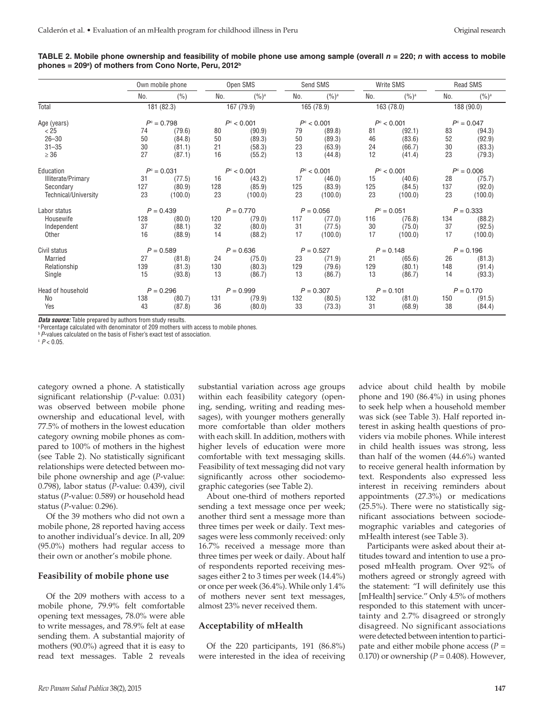|                      |               | Own mobile phone |                     | Open SMS            |     | Send SMS            |     | Write SMS           |     | Read SMS      |  |
|----------------------|---------------|------------------|---------------------|---------------------|-----|---------------------|-----|---------------------|-----|---------------|--|
|                      | No.           | (%)              | No.                 | $(9/6)^a$           | No. | $(9/6)^a$           | No. | $(%)^a$             | No. | $(%)^a$       |  |
| Total                |               | 181 (82.3)       |                     | 167 (79.9)          |     | 165 (78.9)          |     | 163 (78.0)          |     | 188 (90.0)    |  |
| Age (years)          | $P^c = 0.798$ |                  | $P^{\rm c}$ < 0.001 |                     |     | $P^{\circ}$ < 0.001 |     | $P^{\circ}$ < 0.001 |     | $P^c = 0.047$ |  |
| < 25                 | 74            | (79.6)           | 80                  | (90.9)              | 79  | (89.8)              | 81  | (92.1)              | 83  | (94.3)        |  |
| $26 - 30$            | 50            | (84.8)           | 50                  | (89.3)              | 50  | (89.3)              | 46  | (83.6)              | 52  | (92.9)        |  |
| $31 - 35$            | 30            | (81.1)           | 21                  | (58.3)              | 23  | (63.9)              | 24  | (66.7)              | 30  | (83.3)        |  |
| $\geq 36$            | 27            | (87.1)           | 16                  | (55.2)              | 13  | (44.8)              | 12  | (41.4)              | 23  | (79.3)        |  |
| Education            | $P^c = 0.031$ |                  |                     | $P^{\rm c}$ < 0.001 |     | $P^{\rm c}$ < 0.001 |     | $P^{\rm c}$ < 0.001 |     | $P^c = 0.006$ |  |
| Illiterate/Primary   | 31            | (77.5)           | 16                  | (43.2)              | 17  | (46.0)              | 15  | (40.6)              | 28  | (75.7)        |  |
| Secondary            | 127           | (80.9)           | 128                 | (85.9)              | 125 | (83.9)              | 125 | (84.5)              | 137 | (92.0)        |  |
| Technical/University | 23            | (100.0)          | 23                  | (100.0)             | 23  | (100.0)             | 23  | (100.0)             | 23  | (100.0)       |  |
| Labor status         |               | $P = 0.439$      |                     | $P = 0.770$         |     | $P = 0.056$         |     | $P^c = 0.051$       |     | $P = 0.333$   |  |
| Housewife            | 128           | (80.0)           | 120                 | (79.0)              | 117 | (77.0)              | 116 | (76.8)              | 134 | (88.2)        |  |
| Independent          | 37            | (88.1)           | 32                  | (80.0)              | 31  | (77.5)              | 30  | (75.0)              | 37  | (92.5)        |  |
| Other                | 16            | (88.9)           | 14                  | (88.2)              | 17  | (100.0)             | 17  | (100.0)             | 17  | (100.0)       |  |
| Civil status         |               | $P = 0.589$      |                     | $P = 0.636$         |     | $P = 0.527$         |     | $P = 0.148$         |     | $P = 0.196$   |  |
| Married              | 27            | (81.8)           | 24                  | (75.0)              | 23  | (71.9)              | 21  | (65.6)              | 26  | (81.3)        |  |
| Relationship         | 139           | (81.3)           | 130                 | (80.3)              | 129 | (79.6)              | 129 | (80.1)              | 148 | (91.4)        |  |
| Single               | 15            | (93.8)           | 13                  | (86.7)              | 13  | (86.7)              | 13  | (86.7)              | 14  | (93.3)        |  |
| Head of household    |               | $P = 0.296$      |                     | $P = 0.999$         |     | $P = 0.307$         |     | $P = 0.101$         |     | $P = 0.170$   |  |
| No                   | 138           | (80.7)           | 131                 | (79.9)              | 132 | (80.5)              | 132 | (81.0)              | 150 | (91.5)        |  |
| Yes                  | 43            | (87.8)           | 36                  | (80.0)              | 33  | (73.3)              | 31  | (68.9)              | 38  | (84.4)        |  |
|                      |               |                  |                     |                     |     |                     |     |                     |     |               |  |

**TABLE 2. Mobile phone ownership and feasibility of mobile phone use among sample (overall**  $n = 220$ **;** *n* **with access to mobile phones = 209a ) of mothers from Cono Norte, Peru, 2012b**

*Data source:* Table prepared by authors from study results.

<sup>a</sup> Percentage calculated with denominator of 209 mothers with access to mobile phones.

*b* P-values calculated on the basis of Fisher's exact test of association.

 $P < 0.05$ .

category owned a phone. A statistically significant relationship (*P*-value: 0.031) was observed between mobile phone ownership and educational level, with 77.5% of mothers in the lowest education category owning mobile phones as compared to 100% of mothers in the highest (see Table 2). No statistically significant relationships were detected between mobile phone ownership and age (*P*-value: 0.798), labor status (*P*-value: 0.439), civil status (*P*-value: 0.589) or household head status (*P*-value: 0.296).

Of the 39 mothers who did not own a mobile phone, 28 reported having access to another individual's device. In all, 209 (95.0%) mothers had regular access to their own or another's mobile phone.

#### **Feasibility of mobile phone use**

Of the 209 mothers with access to a mobile phone, 79.9% felt comfortable opening text messages, 78.0% were able to write messages, and 78.9% felt at ease sending them. A substantial majority of mothers (90.0%) agreed that it is easy to read text messages. Table 2 reveals

substantial variation across age groups within each feasibility category (opening, sending, writing and reading messages), with younger mothers generally more comfortable than older mothers with each skill. In addition, mothers with higher levels of education were more comfortable with text messaging skills. Feasibility of text messaging did not vary significantly across other sociodemographic categories (see Table 2).

About one-third of mothers reported sending a text message once per week; another third sent a message more than three times per week or daily. Text messages were less commonly received: only 16.7% received a message more than three times per week or daily. About half of respondents reported receiving messages either 2 to 3 times per week (14.4%) or once per week (36.4%). While only 1.4% of mothers never sent text messages, almost 23% never received them.

#### **Acceptability of mHealth**

Of the 220 participants, 191 (86.8%) were interested in the idea of receiving advice about child health by mobile phone and 190 (86.4%) in using phones to seek help when a household member was sick (see Table 3). Half reported interest in asking health questions of providers via mobile phones. While interest in child health issues was strong, less than half of the women (44.6%) wanted to receive general health information by text. Respondents also expressed less interest in receiving reminders about appointments (27.3%) or medications (25.5%). There were no statistically significant associations between sociodemographic variables and categories of mHealth interest (see Table 3).

Participants were asked about their attitudes toward and intention to use a proposed mHealth program. Over 92% of mothers agreed or strongly agreed with the statement: "I will definitely use this [mHealth] service." Only 4.5% of mothers responded to this statement with uncertainty and 2.7% disagreed or strongly disagreed. No significant associations were detected between intention to participate and either mobile phone access (*P* = 0.170) or ownership  $(P = 0.408)$ . However,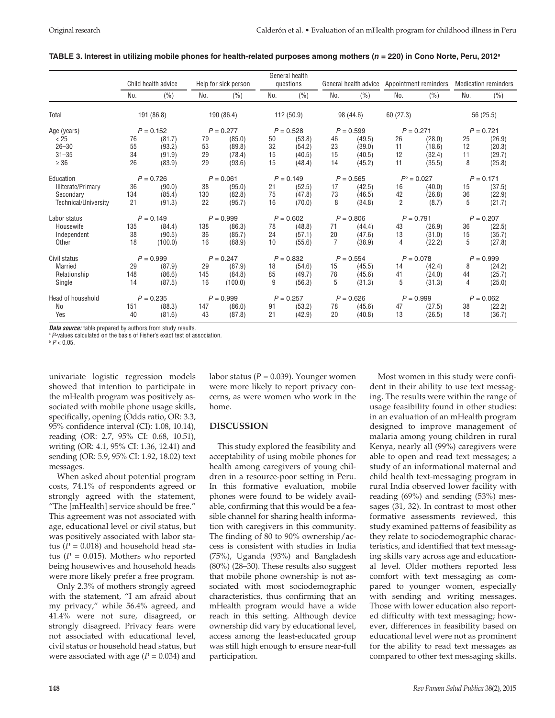#### **TABLE 3. Interest in utilizing mobile phones for health-related purposes among mothers (***n* **= 220) in Cono Norte, Peru, 2012a**

|                                                         | Child health advice  |                                      | Help for sick person       |                                      | General health<br>questions |                                      | General health advice      |                                      | Appointment reminders      |                                      | <b>Medication reminders</b> |                                      |  |
|---------------------------------------------------------|----------------------|--------------------------------------|----------------------------|--------------------------------------|-----------------------------|--------------------------------------|----------------------------|--------------------------------------|----------------------------|--------------------------------------|-----------------------------|--------------------------------------|--|
|                                                         | No.                  | (%)                                  | No.                        | (%)                                  | No.                         | (%)                                  | No.                        | (%)                                  | No.                        | (%)                                  | No.                         | (%)                                  |  |
| Total                                                   | 191 (86.8)           |                                      | 190 (86.4)                 |                                      | 112 (50.9)                  |                                      | 98 (44.6)                  |                                      | 60 (27.3)                  |                                      | 56 (25.5)                   |                                      |  |
| Age (years)                                             | $P = 0.152$          |                                      | $P = 0.277$                |                                      | $P = 0.528$                 |                                      | $P = 0.599$                |                                      | $P = 0.271$                |                                      | $P = 0.721$                 |                                      |  |
| < 25<br>$26 - 30$<br>$31 - 35$<br>$\geq 36$             | 76<br>55<br>34<br>26 | (81.7)<br>(93.2)<br>(91.9)<br>(83.9) | 79<br>53<br>29<br>29       | (85.0)<br>(89.8)<br>(78.4)<br>(93.6) | 50<br>32<br>15<br>15        | (53.8)<br>(54.2)<br>(40.5)<br>(48.4) | 46<br>23<br>15<br>14       | (49.5)<br>(39.0)<br>(40.5)<br>(45.2) | 26<br>11<br>12<br>11       | (28.0)<br>(18.6)<br>(32.4)<br>(35.5) | 25<br>12<br>11<br>8         | (26.9)<br>(20.3)<br>(29.7)<br>(25.8) |  |
| Education                                               | $P = 0.726$          |                                      | $P = 0.061$                |                                      | $P = 0.149$                 |                                      |                            | $P = 0.565$                          |                            | $P^{\rm b} = 0.027$                  |                             | $P = 0.171$                          |  |
| Illiterate/Primary<br>Secondary<br>Technical/University | 36<br>134<br>21      | (90.0)<br>(85.4)<br>(91.3)           | 38<br>130<br>22            | (95.0)<br>(82.8)<br>(95.7)           | 21<br>75<br>16              | (52.5)<br>(47.8)<br>(70.0)           | 17<br>73<br>8              | (42.5)<br>(46.5)<br>(34.8)           | 16<br>42<br>$\overline{2}$ | (40.0)<br>(26.8)<br>(8.7)            | 15<br>36<br>5               | (37.5)<br>(22.9)<br>(21.7)           |  |
| Labor status                                            |                      |                                      | $P = 0.149$<br>$P = 0.999$ |                                      | $P = 0.602$                 |                                      | $P = 0.806$                |                                      | $P = 0.791$                |                                      | $P = 0.207$                 |                                      |  |
| Housewife<br>Independent<br>Other                       | 135<br>38<br>18      | (84.4)<br>(90.5)<br>(100.0)          | 138<br>36<br>16            | (86.3)<br>(85.7)<br>(88.9)           | 78<br>24<br>10              | (48.8)<br>(57.1)<br>(55.6)           | 71<br>20<br>$\overline{7}$ | (44.4)<br>(47.6)<br>(38.9)           | 43<br>13<br>4              | (26.9)<br>(31.0)<br>(22.2)           | 36<br>15<br>5               | (22.5)<br>(35.7)<br>(27.8)           |  |
| Civil status                                            |                      |                                      | $P = 0.999$<br>$P = 0.247$ |                                      | $P = 0.832$                 |                                      | $P = 0.554$                |                                      | $P = 0.078$                |                                      | $P = 0.999$                 |                                      |  |
| <b>Married</b><br>Relationship<br>Single                | 29<br>148<br>14      | (87.9)<br>(86.6)<br>(87.5)           | 29<br>145<br>16            | (87.9)<br>(84.8)<br>(100.0)          | 18<br>85<br>9               | (54.6)<br>(49.7)<br>(56.3)           | 15<br>78<br>5              | (45.5)<br>(45.6)<br>(31.3)           | 14<br>41<br>5              | (42.4)<br>(24.0)<br>(31.3)           | 8<br>44<br>4                | (24.2)<br>(25.7)<br>(25.0)           |  |
| Head of household                                       |                      |                                      | $P = 0.235$<br>$P = 0.999$ |                                      | $P = 0.257$                 |                                      | $P = 0.626$                |                                      | $P = 0.999$                |                                      | $P = 0.062$                 |                                      |  |
| No<br>Yes                                               | 151<br>40            | (88.3)<br>(81.6)                     | 147<br>43                  | (86.0)<br>(87.8)                     | 91<br>21                    | (53.2)<br>(42.9)                     | 78<br>20                   | (45.6)<br>(40.8)                     | 47<br>13                   | (27.5)<br>(26.5)                     | 38<br>18                    | (22.2)<br>(36.7)                     |  |

*Data source:* table prepared by authors from study results.

<sup>a</sup> *P*-values calculated on the basis of Fisher's exact test of association.

 $b$   $P < 0.05$ 

univariate logistic regression models showed that intention to participate in the mHealth program was positively associated with mobile phone usage skills, specifically, opening (Odds ratio, OR: 3.3, 95% confidence interval (CI): 1.08, 10.14), reading (OR: 2.7, 95% CI: 0.68, 10.51), writing (OR: 4.1, 95% CI: 1.36, 12.41) and sending (OR: 5.9, 95% CI: 1.92, 18.02) text messages.

When asked about potential program costs, 74.1% of respondents agreed or strongly agreed with the statement, "The [mHealth] service should be free." This agreement was not associated with age, educational level or civil status, but was positively associated with labor status ( $P = 0.018$ ) and household head status ( $P = 0.015$ ). Mothers who reported being housewives and household heads were more likely prefer a free program.

Only 2.3% of mothers strongly agreed with the statement, "I am afraid about my privacy," while 56.4% agreed, and 41.4% were not sure, disagreed, or strongly disagreed. Privacy fears were not associated with educational level, civil status or household head status, but were associated with age  $(P = 0.034)$  and

labor status ( $P = 0.039$ ). Younger women were more likely to report privacy concerns, as were women who work in the home.

## **DISCUSSION**

This study explored the feasibility and acceptability of using mobile phones for health among caregivers of young children in a resource-poor setting in Peru. In this formative evaluation, mobile phones were found to be widely available, confirming that this would be a feasible channel for sharing health information with caregivers in this community. The finding of 80 to 90% ownership/access is consistent with studies in India (75%), Uganda (93%) and Bangladesh (80%) (28–30). These results also suggest that mobile phone ownership is not associated with most sociodemographic characteristics, thus confirming that an mHealth program would have a wide reach in this setting. Although device ownership did vary by educational level, access among the least-educated group was still high enough to ensure near-full participation.

Most women in this study were confident in their ability to use text messaging. The results were within the range of usage feasibility found in other studies: in an evaluation of an mHealth program designed to improve management of malaria among young children in rural Kenya, nearly all (99%) caregivers were able to open and read text messages; a study of an informational maternal and child health text-messaging program in rural India observed lower facility with reading (69%) and sending (53%) messages (31, 32). In contrast to most other formative assessments reviewed, this study examined patterns of feasibility as they relate to sociodemographic characteristics, and identified that text messaging skills vary across age and educational level. Older mothers reported less comfort with text messaging as compared to younger women, especially with sending and writing messages. Those with lower education also reported difficulty with text messaging; however, differences in feasibility based on educational level were not as prominent for the ability to read text messages as compared to other text messaging skills.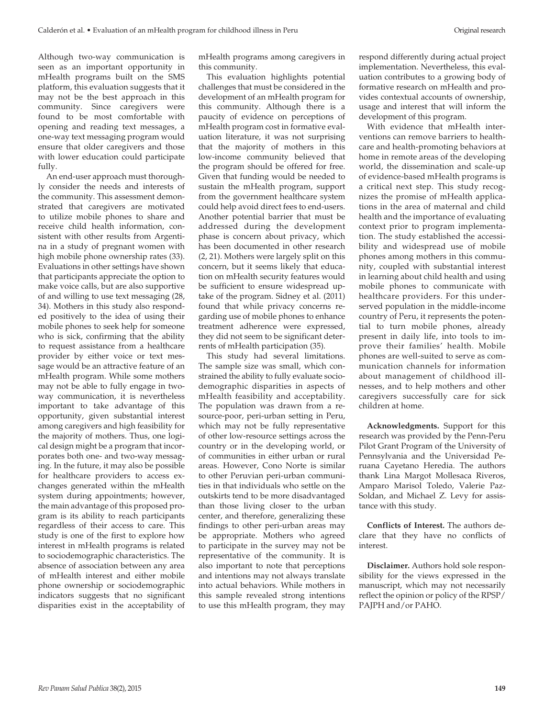Although two-way communication is seen as an important opportunity in mHealth programs built on the SMS platform, this evaluation suggests that it may not be the best approach in this community. Since caregivers were found to be most comfortable with opening and reading text messages, a one-way text messaging program would ensure that older caregivers and those with lower education could participate fully.

An end-user approach must thoroughly consider the needs and interests of the community. This assessment demonstrated that caregivers are motivated to utilize mobile phones to share and receive child health information, consistent with other results from Argentina in a study of pregnant women with high mobile phone ownership rates (33). Evaluations in other settings have shown that participants appreciate the option to make voice calls, but are also supportive of and willing to use text messaging (28, 34). Mothers in this study also responded positively to the idea of using their mobile phones to seek help for someone who is sick, confirming that the ability to request assistance from a healthcare provider by either voice or text message would be an attractive feature of an mHealth program. While some mothers may not be able to fully engage in twoway communication, it is nevertheless important to take advantage of this opportunity, given substantial interest among caregivers and high feasibility for the majority of mothers. Thus, one logical design might be a program that incorporates both one- and two-way messaging. In the future, it may also be possible for healthcare providers to access exchanges generated within the mHealth system during appointments; however, the main advantage of this proposed program is its ability to reach participants regardless of their access to care. This study is one of the first to explore how interest in mHealth programs is related to sociodemographic characteristics. The absence of association between any area of mHealth interest and either mobile phone ownership or sociodemographic indicators suggests that no significant disparities exist in the acceptability of mHealth programs among caregivers in this community.

This evaluation highlights potential challenges that must be considered in the development of an mHealth program for this community. Although there is a paucity of evidence on perceptions of mHealth program cost in formative evaluation literature, it was not surprising that the majority of mothers in this low-income community believed that the program should be offered for free. Given that funding would be needed to sustain the mHealth program, support from the government healthcare system could help avoid direct fees to end-users. Another potential barrier that must be addressed during the development phase is concern about privacy, which has been documented in other research (2, 21). Mothers were largely split on this concern, but it seems likely that education on mHealth security features would be sufficient to ensure widespread uptake of the program. Sidney et al. (2011) found that while privacy concerns regarding use of mobile phones to enhance treatment adherence were expressed, they did not seem to be significant deterrents of mHealth participation (35).

This study had several limitations. The sample size was small, which constrained the ability to fully evaluate sociodemographic disparities in aspects of mHealth feasibility and acceptability. The population was drawn from a resource-poor, peri-urban setting in Peru, which may not be fully representative of other low-resource settings across the country or in the developing world, or of communities in either urban or rural areas. However, Cono Norte is similar to other Peruvian peri-urban communities in that individuals who settle on the outskirts tend to be more disadvantaged than those living closer to the urban center, and therefore, generalizing these findings to other peri-urban areas may be appropriate. Mothers who agreed to participate in the survey may not be representative of the community. It is also important to note that perceptions and intentions may not always translate into actual behaviors. While mothers in this sample revealed strong intentions to use this mHealth program, they may respond differently during actual project implementation. Nevertheless, this evaluation contributes to a growing body of formative research on mHealth and provides contextual accounts of ownership, usage and interest that will inform the development of this program.

With evidence that mHealth interventions can remove barriers to healthcare and health-promoting behaviors at home in remote areas of the developing world, the dissemination and scale-up of evidence-based mHealth programs is a critical next step. This study recognizes the promise of mHealth applications in the area of maternal and child health and the importance of evaluating context prior to program implementation. The study established the accessibility and widespread use of mobile phones among mothers in this community, coupled with substantial interest in learning about child health and using mobile phones to communicate with healthcare providers. For this underserved population in the middle-income country of Peru, it represents the potential to turn mobile phones, already present in daily life, into tools to improve their families' health. Mobile phones are well-suited to serve as communication channels for information about management of childhood illnesses, and to help mothers and other caregivers successfully care for sick children at home.

**Acknowledgments.** Support for this research was provided by the Penn-Peru Pilot Grant Program of the University of Pennsylvania and the Universidad Peruana Cayetano Heredia. The authors thank Lina Margot Mollesaca Riveros, Amparo Marisol Toledo, Valerie Paz-Soldan, and Michael Z. Levy for assistance with this study.

**Conflicts of Interest.** The authors declare that they have no conflicts of interest.

**Disclaimer.** Authors hold sole responsibility for the views expressed in the manuscript, which may not necessarily reflect the opinion or policy of the RPSP/ PAJPH and/or PAHO.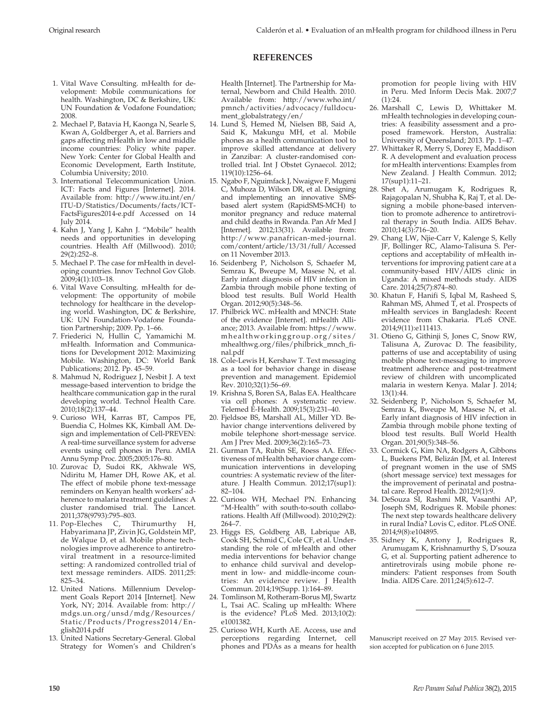## **REFERENCES**

- 1. Vital Wave Consulting. mHealth for development: Mobile communications for health. Washington, DC & Berkshire, UK: UN Foundation & Vodafone Foundation; 2008.
- 2. Mechael P, Batavia H, Kaonga N, Searle S, Kwan A, Goldberger A, et al. Barriers and gaps affecting mHealth in low and middle income countries: Policy white paper. New York: Center for Global Health and Economic Development, Earth Institute, Columbia University; 2010.
- 3. International Telecommunication Union. ICT: Facts and Figures [Internet]. 2014. Available from: http://www.itu.int/en/ ITU-D/Statistics/Documents/facts/ICT-FactsFigures2014-e.pdf Accessed on 14 July 2014.
- 4. Kahn J, Yang J, Kahn J. "Mobile" health needs and opportunities in developing countries. Health Aff (Millwood). 2010; 29(2):252–8.
- 5. Mechael P. The case for mHealth in developing countries. Innov Technol Gov Glob. 2009;4(1):103–18.
- 6. Vital Wave Consulting. mHealth for development: The opportunity of mobile technology for healthcare in the developing world. Washington, DC & Berkshire, UK: UN Foundation-Vodafone Foundation Partnership; 2009. Pp. 1–66.
- 7. Friederici N, Hullin C, Yamamichi M. mHealth. Information and Communications for Development 2012: Maximizing Mobile. Washington, DC: World Bank Publications; 2012. Pp. 45–59.
- 8. Mahmud N, Rodriguez J, Nesbit J. A text message-based intervention to bridge the healthcare communication gap in the rural developing world. Technol Health Care. 2010;18(2):137–44.
- 9. Curioso WH, Karras BT, Campos PE, Buendia C, Holmes KK, Kimball AM. Design and implementation of Cell-PREVEN: A real-time surveillance system for adverse events using cell phones in Peru. AMIA Annu Symp Proc. 2005;2005:176–80.
- 10. Zurovac D, Sudoi RK, Akhwale WS, Ndiritu M, Hamer DH, Rowe AK, et al. The effect of mobile phone text-message reminders on Kenyan health workers' adherence to malaria treatment guidelines: A cluster randomised trial. The Lancet.
- 2011;378(9793):795–803.<br>Pop-Eleches C, Thirumurthy H, 11. Pop-Eleches C, Habyarimana JP, Zivin JG, Goldstein MP, de Walque D, et al. Mobile phone technologies improve adherence to antiretroviral treatment in a resource-limited setting: A randomized controlled trial of text message reminders. AIDS. 2011;25: 825–34.
- 12. United Nations. Millennium Development Goals Report 2014 [Internet]. New York, NY; 2014. Available from: http:// mdgs.un.org/unsd/mdg/Resources/ Static/Products/Progress2014/English2014.pdf
- 13. United Nations Secretary-General. Global Strategy for Women's and Children's

Health [Internet]. The Partnership for Maternal, Newborn and Child Health. 2010. Available from: http://www.who.int/ pmnch/activities/advocacy/fulldocument\_globalstrategy/en/

- 14. Lund S, Hemed M, Nielsen BB, Said A, Said K, Makungu MH, et al. Mobile phones as a health communication tool to improve skilled attendance at delivery in Zanzibar: A cluster-randomised controlled trial. Int J Obstet Gynaecol. 2012; 119(10):1256–64.
- 15. Ngabo F, Nguimfack J, Nwaigwe F, Mugeni C, Muhoza D, Wilson DR, et al. Designing and implementing an innovative SMSbased alert system (RapidSMS-MCH) to monitor pregnancy and reduce maternal and child deaths in Rwanda. Pan Afr Med J [Internet]. 2012;13(31). Available from: http://www.panafrican-med-journal. com/content/article/13/31/full/ Accessed on 11 November 2013.
- 16. Seidenberg P, Nicholson S, Schaefer M, Semrau K, Bweupe M, Masese N, et al. Early infant diagnosis of HIV infection in Zambia through mobile phone texting of blood test results. Bull World Health Organ. 2012;90(5):348–56.
- 17. Philbrick WC. mHealth and MNCH: State of the evidence [Internet]. mHealth Alliance; 2013. Available from: https://www. mhealthworkinggroup.org/sites/ mhealthwg.org/files/philbrick\_mnch\_final.pdf
- 18. Cole-Lewis H, Kershaw T. Text messaging as a tool for behavior change in disease prevention and management. Epidemiol Rev. 2010;32(1):56–69.
- 19. Krishna S, Boren SA, Balas EA. Healthcare via cell phones: A systematic review. Telemed E-Health. 2009;15(3):231–40.
- 20. Fjeldsoe BS, Marshall AL, Miller YD. Behavior change interventions delivered by mobile telephone short-message service. Am J Prev Med. 2009;36(2):165–73.
- 21. Gurman TA, Rubin SE, Roess AA. Effectiveness of mHealth behavior change communication interventions in developing countries: A systematic review of the literature. J Health Commun. 2012;17(sup1): 82–104.
- 22. Curioso WH, Mechael PN. Enhancing "M-Health" with south-to-south collaborations. Health Aff (Millwood). 2010;29(2): 264–7.
- 23. Higgs ES, Goldberg AB, Labrique AB, Cook SH, Schmid C, Cole CF, et al. Understanding the role of mHealth and other media interventions for behavior change to enhance child survival and development in low- and middle-income countries: An evidence review. J Health Commun. 2014;19(Supp. 1):164–89.
- 24. Tomlinson M, Rotheram-Borus MJ, Swartz L, Tsai AC. Scaling up mHealth: Where is the evidence? PLoS Med. 2013;10(2): e1001382.
- 25. Curioso WH, Kurth AE. Access, use and perceptions regarding Internet, cell phones and PDAs as a means for health

promotion for people living with HIV in Peru. Med Inform Decis Mak. 2007;7 (1):24.

- 26. Marshall C, Lewis D, Whittaker M. mHealth technologies in developing countries: A feasibility assessment and a proposed framework. Herston, Australia: University of Queensland; 2013. Pp. 1–47.
- 27. Whittaker R, Merry S, Dorey E, Maddison R. A development and evaluation process for mHealth interventions: Examples from New Zealand. J Health Commun. 2012; 17(sup1):11–21.
- 28. Shet A, Arumugam K, Rodrigues R, Rajagopalan N, Shubha K, Raj T, et al. Designing a mobile phone-based intervention to promote adherence to antiretroviral therapy in South India. AIDS Behav. 2010;14(3):716–20.
- 29. Chang LW, Njie-Carr V, Kalenge S, Kelly JF, Bollinger RC, Alamo-Talisuna S. Perceptions and acceptability of mHealth interventions for improving patient care at a community-based HIV/AIDS clinic in Uganda: A mixed methods study. AIDS Care. 2014;25(7):874–80.
- 30. Khatun F, Hanifi S, Iqbal M, Rasheed S, Rahman MS, Ahmed T, et al. Prospects of mHealth services in Bangladesh: Recent evidence from Chakaria. PLoS ONE. 2014;9(11):e111413.
- 31. Otieno G, Githinji S, Jones C, Snow RW, Talisuna A, Zurovac D. The feasibility, patterns of use and acceptability of using mobile phone text-messaging to improve treatment adherence and post-treatment review of children with uncomplicated malaria in western Kenya. Malar J. 2014; 13(1):44.
- 32. Seidenberg P, Nicholson S, Schaefer M, Semrau K, Bweupe M, Masese N, et al. Early infant diagnosis of HIV infection in Zambia through mobile phone texting of blood test results. Bull World Health Organ. 201;90(5):348–56.
- 33. Cormick G, Kim NA, Rodgers A, Gibbons L, Buekens PM, Belizán JM, et al. Interest of pregnant women in the use of SMS (short message service) text messages for the improvement of perinatal and postnatal care. Reprod Health. 2012;9(1):9.
- 34. DeSouza SI, Rashmi MR, Vasanthi AP, Joseph SM, Rodrigues R. Mobile phones: The next step towards healthcare delivery in rural India? Lovis C, editor. PLoS ONE. 2014;9(8):e104895.
- 35. Sidney K, Antony J, Rodrigues R, Arumugam K, Krishnamurthy S, D'souza G, et al. Supporting patient adherence to antiretrovirals using mobile phone reminders: Patient responses from South India. AIDS Care. 2011;24(5):612–7.

Manuscript received on 27 May 2015. Revised version accepted for publication on 6 June 2015.